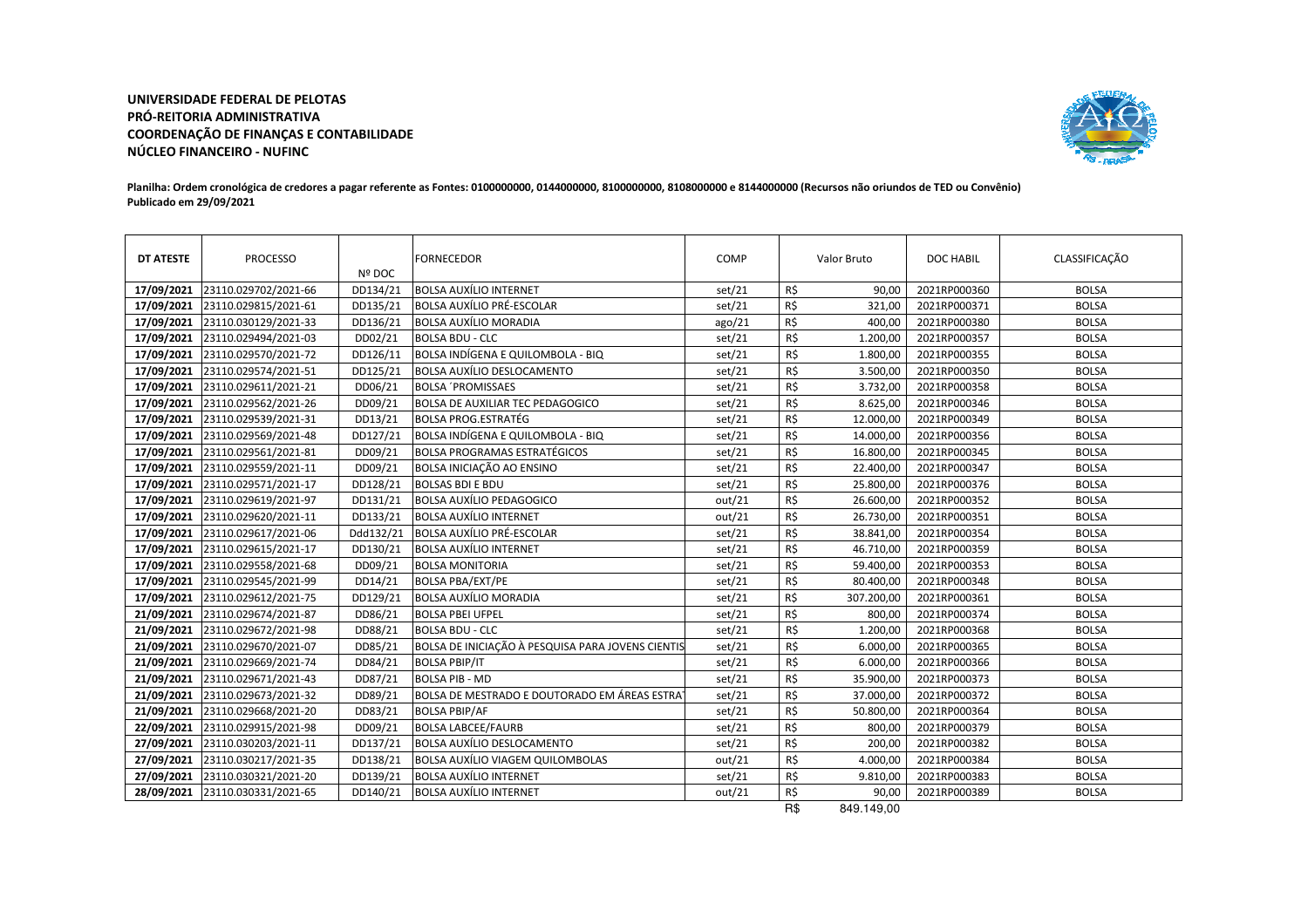## **UNIVERSIDADE FEDERAL DE PELOTAS PRÓ-REITORIA ADMINISTRATIVA COORDENAÇÃO DE FINANÇAS E CONTABILIDADENÚCLEO FINANCEIRO - NUFINC**



## **Planilha: Ordem cronológica de credores a pagar referente as Fontes: 0100000000, 0144000000, 8100000000, 8108000000 e 8144000000 (Recursos não oriundos de TED ou Convênio)Publicado em 29/09/2021**

| <b>DT ATESTE</b> | PROCESSO             | Nº DOC    | <b>FORNECEDOR</b>                                 | COMP   |     | Valor Bruto | DOC HABIL    | CLASSIFICAÇÃO |
|------------------|----------------------|-----------|---------------------------------------------------|--------|-----|-------------|--------------|---------------|
| 17/09/2021       | 23110.029702/2021-66 | DD134/21  | <b>BOLSA AUXÍLIO INTERNET</b>                     | set/21 | R\$ | 90,00       | 2021RP000360 | <b>BOLSA</b>  |
| 17/09/2021       | 23110.029815/2021-61 | DD135/21  | <b>BOLSA AUXÍLIO PRÉ-ESCOLAR</b>                  | set/21 | R\$ | 321,00      | 2021RP000371 | <b>BOLSA</b>  |
| 17/09/2021       | 23110.030129/2021-33 | DD136/21  | <b>BOLSA AUXÍLIO MORADIA</b>                      | ago/21 | R\$ | 400,00      | 2021RP000380 | <b>BOLSA</b>  |
| 17/09/2021       | 23110.029494/2021-03 | DD02/21   | <b>BOLSA BDU - CLC</b>                            | set/21 | R\$ | 1.200,00    | 2021RP000357 | <b>BOLSA</b>  |
| 17/09/2021       | 23110.029570/2021-72 | DD126/11  | BOLSA INDÍGENA E QUILOMBOLA - BIQ                 | set/21 | R\$ | 1.800,00    | 2021RP000355 | <b>BOLSA</b>  |
| 17/09/2021       | 23110.029574/2021-51 | DD125/21  | <b>BOLSA AUXÍLIO DESLOCAMENTO</b>                 | set/21 | R\$ | 3.500,00    | 2021RP000350 | <b>BOLSA</b>  |
| 17/09/2021       | 23110.029611/2021-21 | DD06/21   | <b>BOLSA 'PROMISSAES</b>                          | set/21 | R\$ | 3.732,00    | 2021RP000358 | <b>BOLSA</b>  |
| 17/09/2021       | 23110.029562/2021-26 | DD09/21   | <b>BOLSA DE AUXILIAR TEC PEDAGOGICO</b>           | set/21 | R\$ | 8.625,00    | 2021RP000346 | <b>BOLSA</b>  |
| 17/09/2021       | 23110.029539/2021-31 | DD13/21   | <b>BOLSA PROG.ESTRATÉG</b>                        | set/21 | R\$ | 12.000,00   | 2021RP000349 | <b>BOLSA</b>  |
| 17/09/2021       | 23110.029569/2021-48 | DD127/21  | BOLSA INDÍGENA E QUILOMBOLA - BIQ                 | set/21 | R\$ | 14.000,00   | 2021RP000356 | <b>BOLSA</b>  |
| 17/09/2021       | 23110.029561/2021-81 | DD09/21   | <b>BOLSA PROGRAMAS ESTRATÉGICOS</b>               | set/21 | R\$ | 16.800,00   | 2021RP000345 | <b>BOLSA</b>  |
| 17/09/2021       | 23110.029559/2021-11 | DD09/21   | <b>BOLSA INICIAÇÃO AO ENSINO</b>                  | set/21 | R\$ | 22.400,00   | 2021RP000347 | <b>BOLSA</b>  |
| 17/09/2021       | 23110.029571/2021-17 | DD128/21  | <b>BOLSAS BDI E BDU</b>                           | set/21 | R\$ | 25.800,00   | 2021RP000376 | <b>BOLSA</b>  |
| 17/09/2021       | 23110.029619/2021-97 | DD131/21  | BOLSA AUXÍLIO PEDAGOGICO                          | out/21 | R\$ | 26.600,00   | 2021RP000352 | <b>BOLSA</b>  |
| 17/09/2021       | 23110.029620/2021-11 | DD133/21  | <b>BOLSA AUXÍLIO INTERNET</b>                     | out/21 | R\$ | 26.730,00   | 2021RP000351 | <b>BOLSA</b>  |
| 17/09/2021       | 23110.029617/2021-06 | Ddd132/21 | <b>BOLSA AUXÍLIO PRÉ-ESCOLAR</b>                  | set/21 | R\$ | 38.841,00   | 2021RP000354 | <b>BOLSA</b>  |
| 17/09/2021       | 23110.029615/2021-17 | DD130/21  | <b>BOLSA AUXÍLIO INTERNET</b>                     | set/21 | R\$ | 46.710,00   | 2021RP000359 | <b>BOLSA</b>  |
| 17/09/2021       | 23110.029558/2021-68 | DD09/21   | <b>BOLSA MONITORIA</b>                            | set/21 | R\$ | 59.400,00   | 2021RP000353 | <b>BOLSA</b>  |
| 17/09/2021       | 23110.029545/2021-99 | DD14/21   | <b>BOLSA PBA/EXT/PE</b>                           | set/21 | R\$ | 80.400,00   | 2021RP000348 | <b>BOLSA</b>  |
| 17/09/2021       | 23110.029612/2021-75 | DD129/21  | <b>BOLSA AUXÍLIO MORADIA</b>                      | set/21 | R\$ | 307.200,00  | 2021RP000361 | <b>BOLSA</b>  |
| 21/09/2021       | 23110.029674/2021-87 | DD86/21   | <b>BOLSA PBEI UFPEL</b>                           | set/21 | R\$ | 800,00      | 2021RP000374 | <b>BOLSA</b>  |
| 21/09/2021       | 23110.029672/2021-98 | DD88/21   | <b>BOLSA BDU - CLC</b>                            | set/21 | R\$ | 1.200,00    | 2021RP000368 | <b>BOLSA</b>  |
| 21/09/2021       | 23110.029670/2021-07 | DD85/21   | BOLSA DE INICIAÇÃO À PESQUISA PARA JOVENS CIENTIS | set/21 | R\$ | 6.000,00    | 2021RP000365 | <b>BOLSA</b>  |
| 21/09/2021       | 23110.029669/2021-74 | DD84/21   | <b>BOLSA PBIP/IT</b>                              | set/21 | R\$ | 6.000,00    | 2021RP000366 | <b>BOLSA</b>  |
| 21/09/2021       | 23110.029671/2021-43 | DD87/21   | <b>BOLSA PIB - MD</b>                             | set/21 | R\$ | 35.900,00   | 2021RP000373 | <b>BOLSA</b>  |
| 21/09/2021       | 23110.029673/2021-32 | DD89/21   | BOLSA DE MESTRADO E DOUTORADO EM ÁREAS ESTRA      | set/21 | R\$ | 37.000,00   | 2021RP000372 | <b>BOLSA</b>  |
| 21/09/2021       | 23110.029668/2021-20 | DD83/21   | <b>BOLSA PBIP/AF</b>                              | set/21 | R\$ | 50.800,00   | 2021RP000364 | <b>BOLSA</b>  |
| 22/09/2021       | 23110.029915/2021-98 | DD09/21   | <b>BOLSA LABCEE/FAURB</b>                         | set/21 | R\$ | 800,00      | 2021RP000379 | <b>BOLSA</b>  |
| 27/09/2021       | 23110.030203/2021-11 | DD137/21  | <b>BOLSA AUXÍLIO DESLOCAMENTO</b>                 | set/21 | R\$ | 200,00      | 2021RP000382 | <b>BOLSA</b>  |
| 27/09/2021       | 23110.030217/2021-35 | DD138/21  | <b>BOLSA AUXÍLIO VIAGEM QUILOMBOLAS</b>           | out/21 | R\$ | 4.000,00    | 2021RP000384 | <b>BOLSA</b>  |
| 27/09/2021       | 23110.030321/2021-20 | DD139/21  | <b>BOLSA AUXÍLIO INTERNET</b>                     | set/21 | R\$ | 9.810,00    | 2021RP000383 | <b>BOLSA</b>  |
| 28/09/2021       | 23110.030331/2021-65 | DD140/21  | <b>BOLSA AUXÍLIO INTERNET</b>                     | out/21 | R\$ | 90,00       | 2021RP000389 | <b>BOLSA</b>  |

R\$ 849.149,00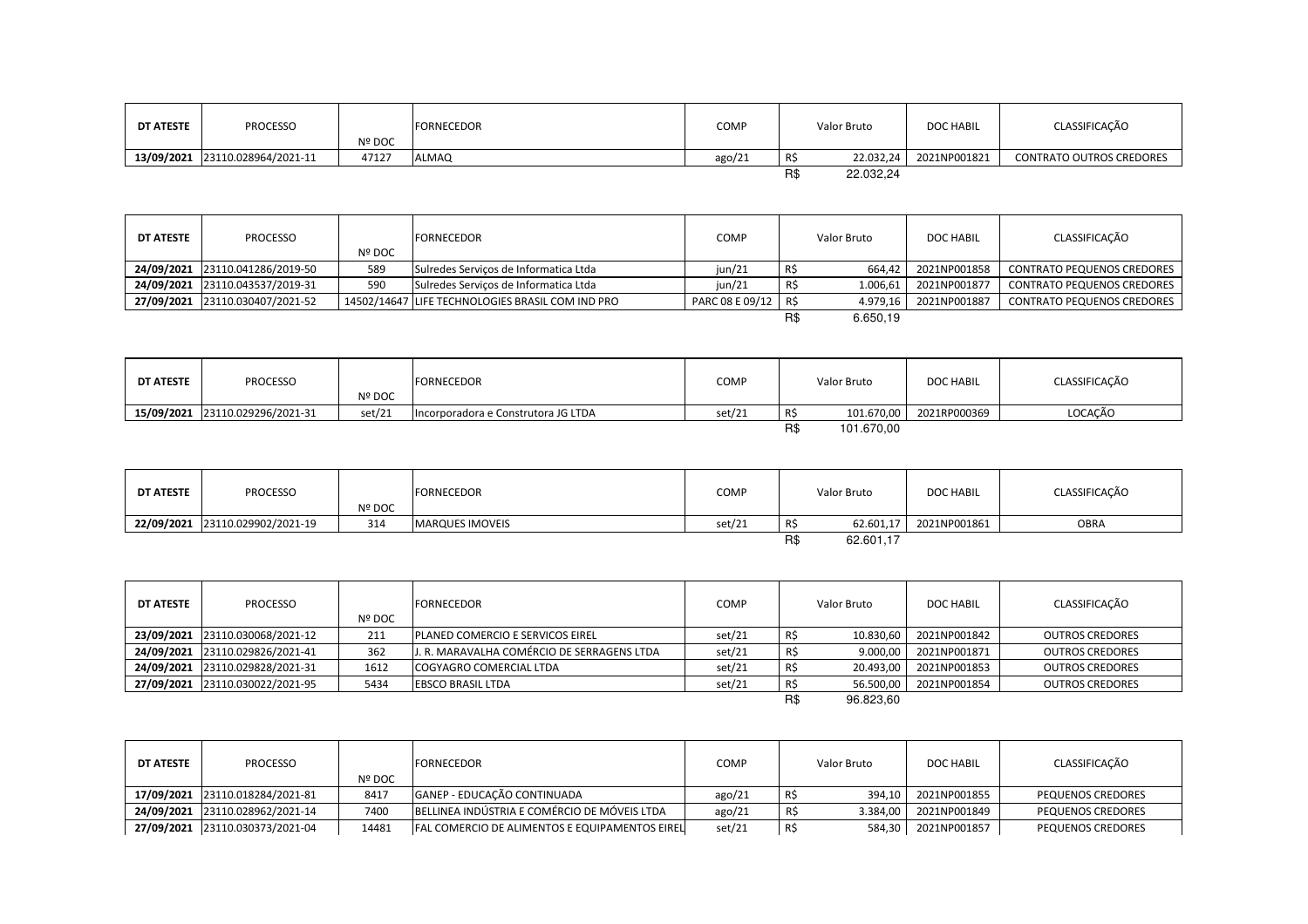| DT ATESTE | <b>PROCESSO</b>                 | Nº DOC | <b>FORNECEDOR</b> | <b>COMP</b> |     | Valor Bruto | <b>DOC HABIL</b> | CLASSIFICAÇÃO                   |
|-----------|---------------------------------|--------|-------------------|-------------|-----|-------------|------------------|---------------------------------|
|           | 13/09/2021 23110.028964/2021-11 | 47127  | <b>ALMAQ</b>      | ago/21      | RS. | 22.032.24   | 2021NP001821     | <b>CONTRATO OUTROS CREDORES</b> |
|           |                                 |        |                   |             | R\$ | 22.032,24   |                  |                                 |

| <b>DT ATESTE</b> | <b>PROCESSO</b>                 | <b>Nº DOC</b> | <b>FORNECEDOR</b>                                | COMP            |      | Valor Bruto | <b>DOC HABIL</b> | CLASSIFICAÇÃO                     |
|------------------|---------------------------------|---------------|--------------------------------------------------|-----------------|------|-------------|------------------|-----------------------------------|
|                  | 24/09/2021 23110.041286/2019-50 | 589           | Sulredes Servicos de Informatica Ltda            | $\mu n/21$      |      | 664.42      | 2021NP001858     | <b>CONTRATO PEQUENOS CREDORES</b> |
|                  | 24/09/2021 23110.043537/2019-31 | 590           | Sulredes Servicos de Informatica Ltda            | jun/21          |      | 1.006.61    | 2021NP001877     | <b>CONTRATO PEQUENOS CREDORES</b> |
|                  | 27/09/2021 23110.030407/2021-52 |               | 14502/14647 LIFE TECHNOLOGIES BRASIL COM IND PRO | PARC 08 E 09/12 | -R\$ | 4.979.16    | 2021NP001887     | <b>CONTRATO PEQUENOS CREDORES</b> |
|                  |                                 |               |                                                  |                 |      | 6.650.19    |                  |                                   |

| DT ATESTE | PROCESSO                        | <b>Nº DOC</b> | <b>FORNECEDOR</b>                   | COMP   |     | Valor Bruto | <b>DOC HABIL</b> | CLASSIFICAÇÃO |
|-----------|---------------------------------|---------------|-------------------------------------|--------|-----|-------------|------------------|---------------|
|           | 15/09/2021 23110.029296/2021-31 | set/21        | Incorporadora e Construtora JG LTDA | set/21 |     | 101.670,00  | 2021RP000369     | LOCACÃO       |
|           |                                 |               |                                     |        | R\$ | 101.670.00  |                  |               |

| DT ATESTE | <b>PROCESSO</b>                 | Nº DOC | <b>FORNECEDOR</b>      | COMP   |          | Valor Bruto | <b>DOC HABIL</b> | CLASSIFICAÇÃO |
|-----------|---------------------------------|--------|------------------------|--------|----------|-------------|------------------|---------------|
|           | 22/09/2021 23110.029902/2021-19 | 314    | <b>MARQUES IMOVEIS</b> | set/21 | R\$      | 62.601,17   | 2021NP001861     | <b>OBRA</b>   |
|           |                                 |        |                        |        | סת<br>ПJ | 62.601,17   |                  |               |

| <b>DT ATESTE</b> | <b>PROCESSO</b>                 | Nº DOC | <b>FORNECEDOR</b>                          | <b>COMP</b> |     | Valor Bruto | <b>DOC HABIL</b> | CLASSIFICAÇÃO          |
|------------------|---------------------------------|--------|--------------------------------------------|-------------|-----|-------------|------------------|------------------------|
|                  | 23/09/2021 23110.030068/2021-12 | 211    | <b>PLANED COMERCIO E SERVICOS EIREL</b>    | set/21      |     | 10.830.60   | 2021NP001842     | <b>OUTROS CREDORES</b> |
|                  | 24/09/2021 23110.029826/2021-41 | 362    | J. R. MARAVALHA COMÉRCIO DE SERRAGENS LTDA | set/21      | R\$ | 9.000,00    | 2021NP001871     | <b>OUTROS CREDORES</b> |
|                  | 24/09/2021 23110.029828/2021-31 | 1612   | <b>COGYAGRO COMERCIAL LTDA</b>             | set/21      | R\$ | 20.493,00   | 2021NP001853     | <b>OUTROS CREDORES</b> |
|                  | 27/09/2021 23110.030022/2021-95 | 5434   | <b>EBSCO BRASIL LTDA</b>                   | set/21      |     | 56.500,00   | 2021NP001854     | <b>OUTROS CREDORES</b> |
|                  |                                 |        |                                            |             | R\$ | 96.823,60   |                  |                        |

| DT ATESTE | <b>PROCESSO</b>                 | Nº DOC | <b>FORNECEDOR</b>                              | <b>COMP</b> | Valor Bruto |          | <b>DOC HABIL</b> | CLASSIFICAÇÃO            |
|-----------|---------------------------------|--------|------------------------------------------------|-------------|-------------|----------|------------------|--------------------------|
|           | 17/09/2021 23110.018284/2021-81 | 8417   | GANEP - EDUCAÇÃO CONTINUADA                    | ago/21      |             | 394.10   | 2021NP001855     | PEQUENOS CREDORES        |
|           | 24/09/2021 23110.028962/2021-14 | 7400   | BELLINEA INDÚSTRIA E COMÉRCIO DE MÓVEIS LTDA   | ago/21      |             | 3.384.00 | 2021NP001849     | <b>PEQUENOS CREDORES</b> |
|           | 27/09/2021 23110.030373/2021-04 | 14481  | FAL COMERCIO DE ALIMENTOS E EQUIPAMENTOS EIREL | set/21      |             | 584,30   | 2021NP001857     | PEQUENOS CREDORES        |